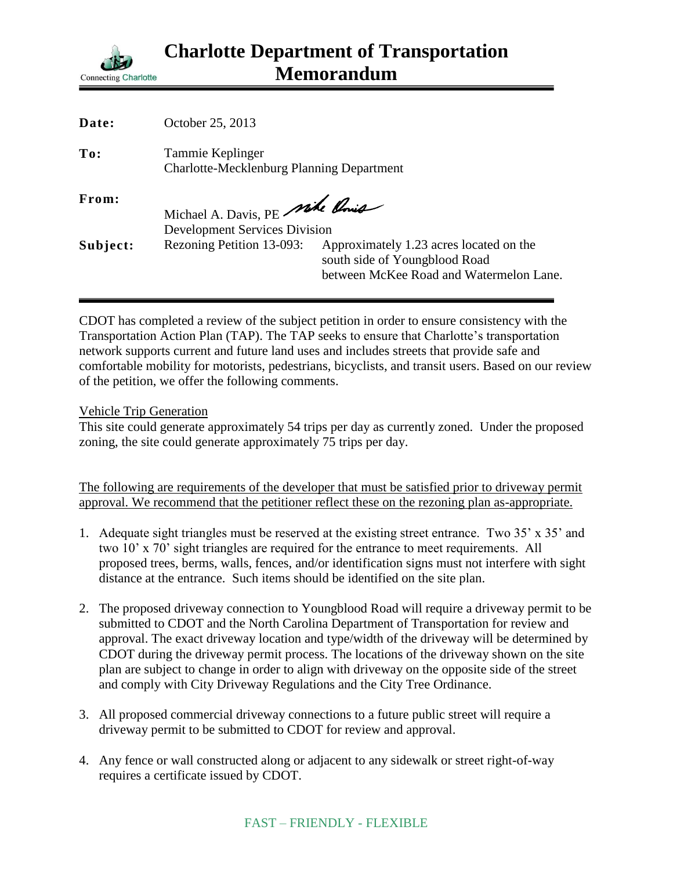

| Date:    | October 25, 2013                                                     |                                                                                                                     |
|----------|----------------------------------------------------------------------|---------------------------------------------------------------------------------------------------------------------|
| To:      | Tammie Keplinger<br><b>Charlotte-Mecklenburg Planning Department</b> |                                                                                                                     |
| From:    | Michael A. Davis, PE side Ania                                       |                                                                                                                     |
|          | <b>Development Services Division</b>                                 |                                                                                                                     |
| Subject: | Rezoning Petition 13-093:                                            | Approximately 1.23 acres located on the<br>south side of Youngblood Road<br>between McKee Road and Watermelon Lane. |
|          |                                                                      |                                                                                                                     |

CDOT has completed a review of the subject petition in order to ensure consistency with the Transportation Action Plan (TAP). The TAP seeks to ensure that Charlotte's transportation network supports current and future land uses and includes streets that provide safe and comfortable mobility for motorists, pedestrians, bicyclists, and transit users. Based on our review of the petition, we offer the following comments.

Vehicle Trip Generation

This site could generate approximately 54 trips per day as currently zoned. Under the proposed zoning, the site could generate approximately 75 trips per day.

The following are requirements of the developer that must be satisfied prior to driveway permit approval. We recommend that the petitioner reflect these on the rezoning plan as-appropriate.

- 1. Adequate sight triangles must be reserved at the existing street entrance. Two 35' x 35' and two 10' x 70' sight triangles are required for the entrance to meet requirements. All proposed trees, berms, walls, fences, and/or identification signs must not interfere with sight distance at the entrance. Such items should be identified on the site plan.
- 2. The proposed driveway connection to Youngblood Road will require a driveway permit to be submitted to CDOT and the North Carolina Department of Transportation for review and approval. The exact driveway location and type/width of the driveway will be determined by CDOT during the driveway permit process. The locations of the driveway shown on the site plan are subject to change in order to align with driveway on the opposite side of the street and comply with City Driveway Regulations and the City Tree Ordinance.
- 3. All proposed commercial driveway connections to a future public street will require a driveway permit to be submitted to CDOT for review and approval.
- 4. Any fence or wall constructed along or adjacent to any sidewalk or street right-of-way requires a certificate issued by CDOT.